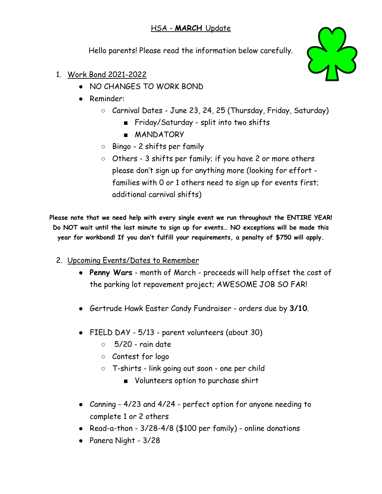## HSA - **MARCH** Update

Hello parents! Please read the information below carefully.

- 1. Work Bond 2021-2022
	- NO CHANGES TO WORK BOND
	- Reminder:
		- Carnival Dates June 23, 24, 25 (Thursday, Friday, Saturday)
			- Friday/Saturday split into two shifts
			- **MANDATORY**
		- Bingo 2 shifts per family
		- Others 3 shifts per family; if you have 2 or more others please don't sign up for anything more (looking for effort families with 0 or 1 others need to sign up for events first; additional carnival shifts)

**Please note that we need help with every single event we run throughout the ENTIRE YEAR! Do NOT wait until the last minute to sign up for events… NO exceptions will be made this year for workbond! If you don't fulfill your requirements, a penalty of \$750 will apply.**

- 2. Upcoming Events/Dates to Remember
	- **Penny Wars** month of March proceeds will help offset the cost of the parking lot repavement project; AWESOME JOB SO FAR!
	- Gertrude Hawk Easter Candy Fundraiser orders due by **3/10**.
	- FIELD DAY 5/13 parent volunteers (about 30)
		- $\circ$  5/20 rain date
		- Contest for logo
		- T-shirts link going out soon one per child
			- Volunteers option to purchase shirt
	- Canning 4/23 and 4/24 perfect option for anyone needing to complete 1 or 2 others
	- Read-a-thon  $3/28-4/8$  (\$100 per family) online donations
	- Panera Night 3/28